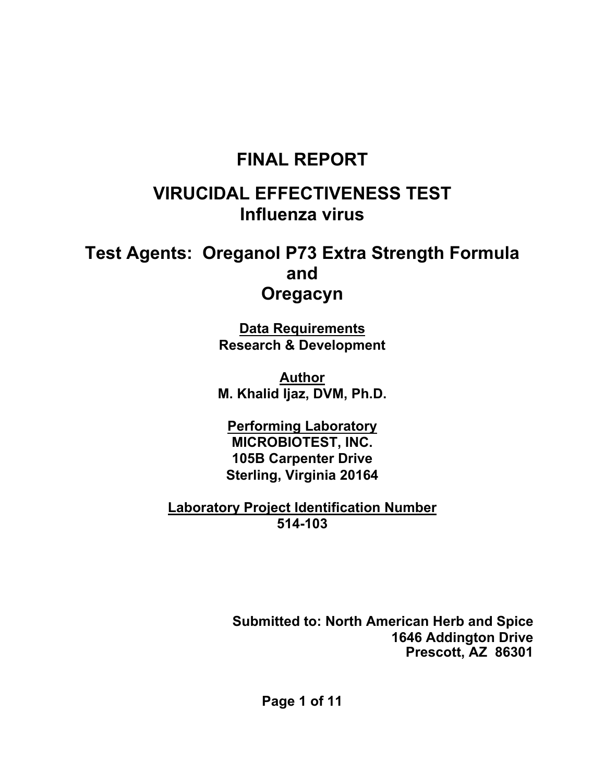# **FINAL REPORT**

# **VIRUCIDAL EFFECTIVENESS TEST Influenza virus**

# **Test Agents: Oreganol P73 Extra Strength Formula and Oregacyn**

**Data Requirements Research & Development** 

**Author M. Khalid Ijaz, DVM, Ph.D.** 

**Performing Laboratory MICROBIOTEST, INC. 105B Carpenter Drive Sterling, Virginia 20164** 

**Laboratory Project Identification Number 514-103** 

> **Submitted to: North American Herb and Spice 1646 Addington Drive Prescott, AZ 86301**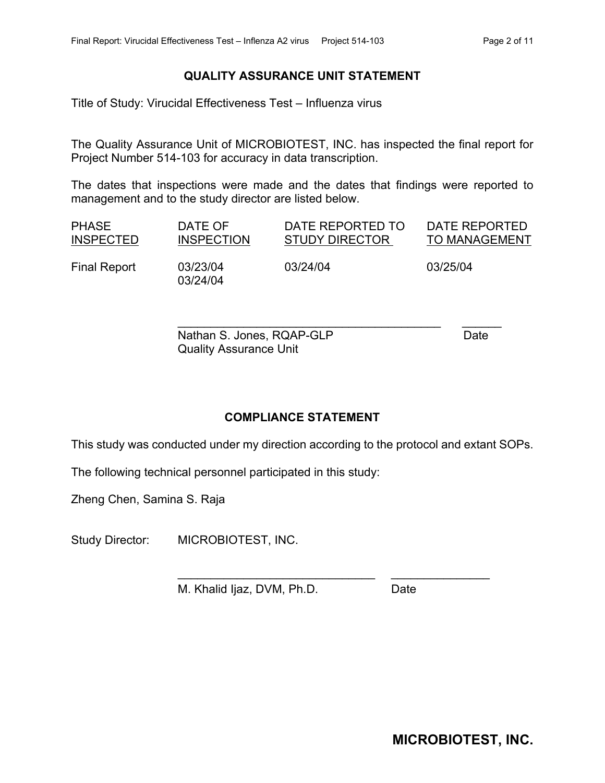#### **QUALITY ASSURANCE UNIT STATEMENT**

Title of Study: Virucidal Effectiveness Test – Influenza virus

The Quality Assurance Unit of MICROBIOTEST, INC. has inspected the final report for Project Number 514-103 for accuracy in data transcription.

The dates that inspections were made and the dates that findings were reported to management and to the study director are listed below.

| <b>PHASE</b>     | DATE OF              | DATE REPORTED TO      | DATE REPORTED        |
|------------------|----------------------|-----------------------|----------------------|
| <b>INSPECTED</b> | <b>INSPECTION</b>    | <b>STUDY DIRECTOR</b> | <b>TO MANAGEMENT</b> |
| Final Report     | 03/23/04<br>03/24/04 | 03/24/04              | 03/25/04             |

\_\_\_\_\_\_\_\_\_\_\_\_\_\_\_\_\_\_\_\_\_\_\_\_\_\_\_\_\_\_\_\_\_\_\_\_\_\_\_\_ \_\_\_\_\_\_

\_\_\_\_\_\_\_\_\_\_\_\_\_\_\_\_\_\_\_\_\_\_\_\_\_\_\_\_\_\_ \_\_\_\_\_\_\_\_\_\_\_\_\_\_\_

Nathan S. Jones, RQAP-GLP Date Quality Assurance Unit

#### **COMPLIANCE STATEMENT**

This study was conducted under my direction according to the protocol and extant SOPs.

The following technical personnel participated in this study:

Zheng Chen, Samina S. Raja

Study Director: MICROBIOTEST, INC.

M. Khalid Ijaz, DVM, Ph.D. Date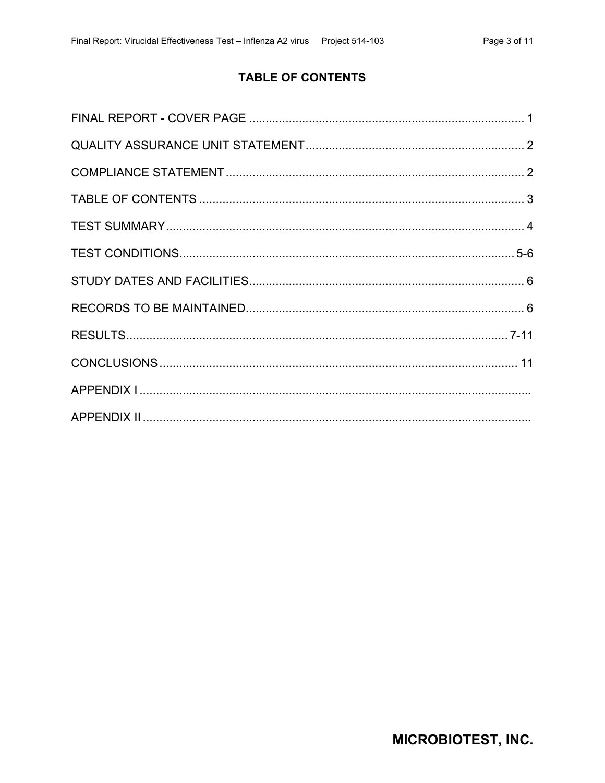# **TABLE OF CONTENTS**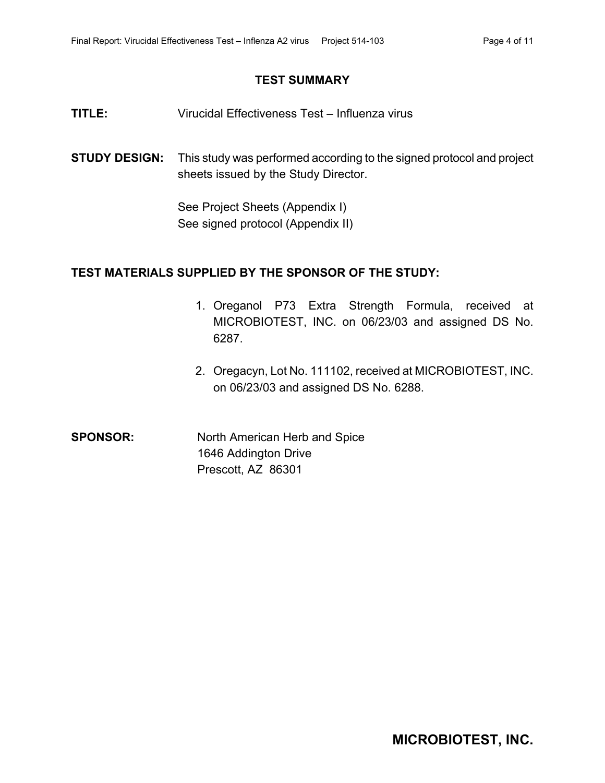#### **TEST SUMMARY**

- **TITLE:** Virucidal Effectiveness Test Influenza virus
- **STUDY DESIGN:** This study was performed according to the signed protocol and project sheets issued by the Study Director.

See Project Sheets (Appendix I) See signed protocol (Appendix II)

### **TEST MATERIALS SUPPLIED BY THE SPONSOR OF THE STUDY:**

- 1. Oreganol P73 Extra Strength Formula, received at MICROBIOTEST, INC. on 06/23/03 and assigned DS No. 6287.
- 2. Oregacyn, Lot No. 111102, received at MICROBIOTEST, INC. on 06/23/03 and assigned DS No. 6288.

**SPONSOR:** North American Herb and Spice 1646 Addington Drive Prescott, AZ 86301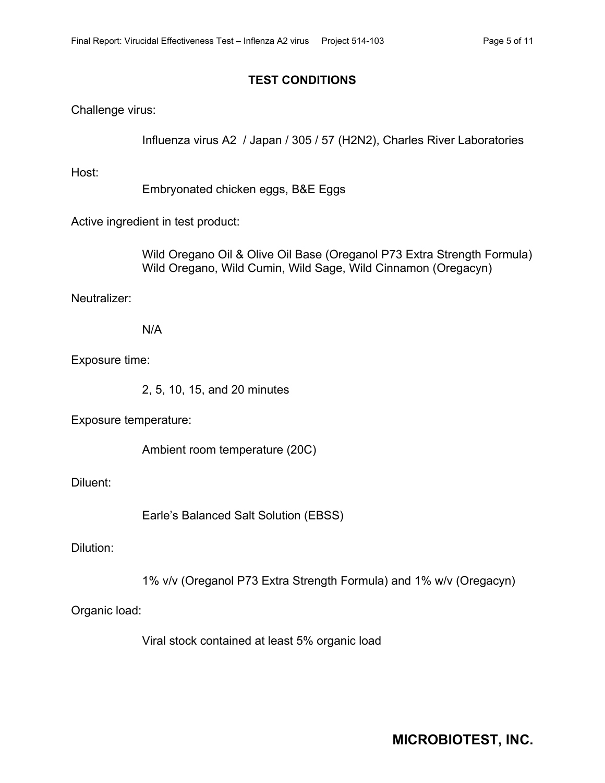### **TEST CONDITIONS**

Challenge virus:

Influenza virus A2 / Japan / 305 / 57 (H2N2), Charles River Laboratories

Host:

Embryonated chicken eggs, B&E Eggs

Active ingredient in test product:

 Wild Oregano Oil & Olive Oil Base (Oreganol P73 Extra Strength Formula) Wild Oregano, Wild Cumin, Wild Sage, Wild Cinnamon (Oregacyn)

Neutralizer:

N/A

Exposure time:

2, 5, 10, 15, and 20 minutes

Exposure temperature:

Ambient room temperature (20C)

Diluent:

Earle's Balanced Salt Solution (EBSS)

Dilution:

1% v/v (Oreganol P73 Extra Strength Formula) and 1% w/v (Oregacyn)

Organic load:

Viral stock contained at least 5% organic load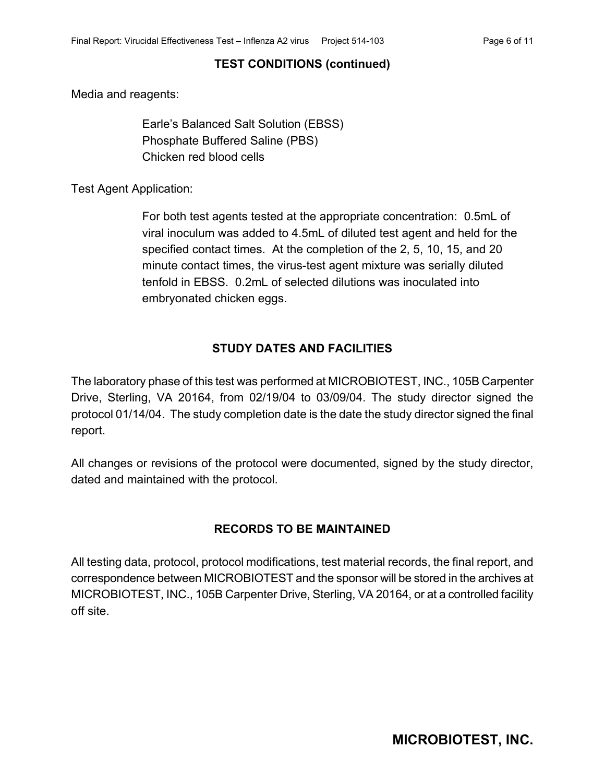## **TEST CONDITIONS (continued)**

Media and reagents:

Earle's Balanced Salt Solution (EBSS) Phosphate Buffered Saline (PBS) Chicken red blood cells

Test Agent Application:

For both test agents tested at the appropriate concentration: 0.5mL of viral inoculum was added to 4.5mL of diluted test agent and held for the specified contact times. At the completion of the 2, 5, 10, 15, and 20 minute contact times, the virus-test agent mixture was serially diluted tenfold in EBSS. 0.2mL of selected dilutions was inoculated into embryonated chicken eggs.

## **STUDY DATES AND FACILITIES**

The laboratory phase of this test was performed at MICROBIOTEST, INC., 105B Carpenter Drive, Sterling, VA 20164, from 02/19/04 to 03/09/04. The study director signed the protocol 01/14/04. The study completion date is the date the study director signed the final report.

All changes or revisions of the protocol were documented, signed by the study director, dated and maintained with the protocol.

## **RECORDS TO BE MAINTAINED**

All testing data, protocol, protocol modifications, test material records, the final report, and correspondence between MICROBIOTEST and the sponsor will be stored in the archives at MICROBIOTEST, INC., 105B Carpenter Drive, Sterling, VA 20164, or at a controlled facility off site.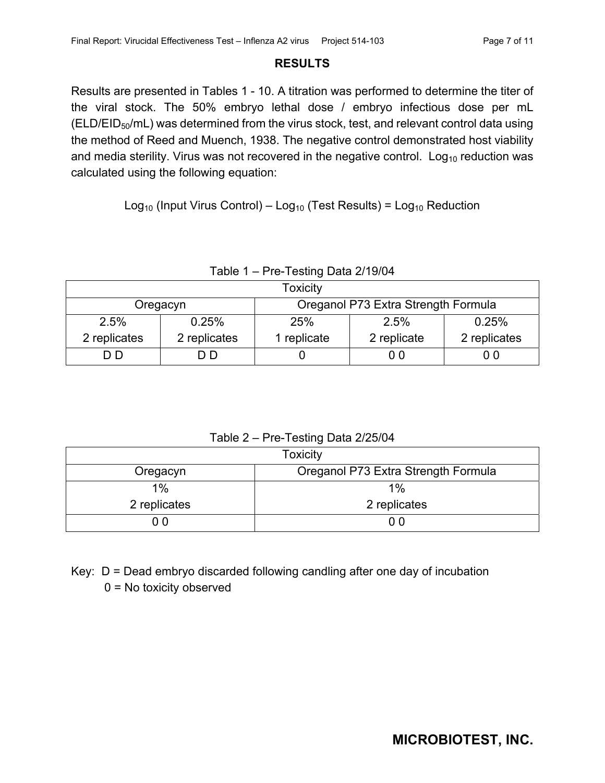#### **RESULTS**

Results are presented in Tables 1 - 10. A titration was performed to determine the titer of the viral stock. The 50% embryo lethal dose / embryo infectious dose per mL (ELD/EID<sub>50</sub>/mL) was determined from the virus stock, test, and relevant control data using the method of Reed and Muench, 1938. The negative control demonstrated host viability and media sterility. Virus was not recovered in the negative control. Log<sub>10</sub> reduction was calculated using the following equation:

Log<sub>10</sub> (Input Virus Control) – Log<sub>10</sub> (Test Results) = Log<sub>10</sub> Reduction

| Table 1 – Pre-Testing Data 2/19/04 |  |
|------------------------------------|--|
|                                    |  |

| Toxicity                                        |              |                                            |  |  |  |  |
|-------------------------------------------------|--------------|--------------------------------------------|--|--|--|--|
| Oreganol P73 Extra Strength Formula<br>Oregacyn |              |                                            |  |  |  |  |
| 2.5%                                            | 0.25%        | 0.25%<br>25%<br>2.5%                       |  |  |  |  |
| 2 replicates                                    | 2 replicates | 2 replicates<br>1 replicate<br>2 replicate |  |  |  |  |
| D D.<br>0 0<br>D D                              |              |                                            |  |  |  |  |

#### Table 2 – Pre-Testing Data 2/25/04

| <b>Toxicity</b>                                 |              |  |  |
|-------------------------------------------------|--------------|--|--|
| Oreganol P73 Extra Strength Formula<br>Oregacyn |              |  |  |
| 1%                                              | 1%           |  |  |
| 2 replicates                                    | 2 replicates |  |  |
| 0 O                                             |              |  |  |

Key: D = Dead embryo discarded following candling after one day of incubation 0 = No toxicity observed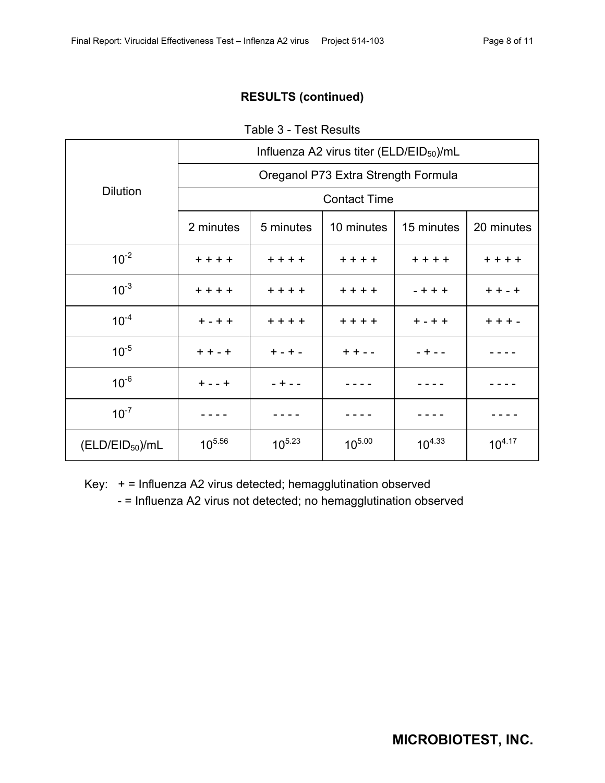Table 3 - Test Results

|                             | Influenza A2 virus titer (ELD/EID $_{50}$ )/mL |             |                     |             |             |  |
|-----------------------------|------------------------------------------------|-------------|---------------------|-------------|-------------|--|
|                             | Oreganol P73 Extra Strength Formula            |             |                     |             |             |  |
| <b>Dilution</b>             |                                                |             | <b>Contact Time</b> |             |             |  |
|                             | 2 minutes                                      | 5 minutes   | 10 minutes          | 15 minutes  | 20 minutes  |  |
| $10^{-2}$                   | $+ + + +$                                      | $+ + + +$   | $+ + + +$           | $+ + + +$   | $+ + + +$   |  |
| $10^{-3}$                   | $+ + + +$                                      | $+ + + +$   | $+ + + +$           | $- + + +$   | $+ + - +$   |  |
| $10^{-4}$                   | $+ - + +$                                      | $+ + + +$   | $+ + + +$           | $+ - + +$   | $+ + + -$   |  |
| $10^{-5}$                   | $+ + - +$                                      | $+ - + -$   | $+ + - -$           | $- + - -$   |             |  |
| $10^{-6}$                   | $+ - - +$                                      | $- + - -$   |                     |             |             |  |
| $10^{-7}$                   |                                                |             |                     |             |             |  |
| (ELD/EID <sub>50</sub> )/mL | $10^{5.56}$                                    | $10^{5.23}$ | $10^{5.00}$         | $10^{4.33}$ | $10^{4.17}$ |  |

Key: + = Influenza A2 virus detected; hemagglutination observed

- = Influenza A2 virus not detected; no hemagglutination observed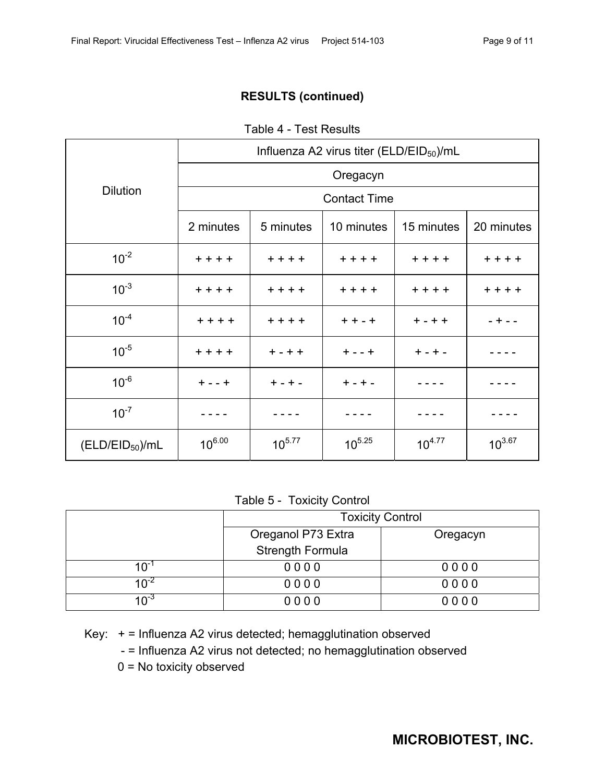|  | Table 4 - Test Results |
|--|------------------------|
|--|------------------------|

|                             | Influenza A2 virus titer ( $ELD/EID_{50}$ )/mL |             |                     |             |             |  |
|-----------------------------|------------------------------------------------|-------------|---------------------|-------------|-------------|--|
|                             | Oregacyn                                       |             |                     |             |             |  |
| <b>Dilution</b>             |                                                |             | <b>Contact Time</b> |             |             |  |
|                             | 2 minutes                                      | 5 minutes   | 10 minutes          | 15 minutes  | 20 minutes  |  |
| $10^{-2}$                   | $+ + + +$                                      | $+ + + +$   | $+ + + +$           | $+ + + +$   | $+ + + +$   |  |
| $10^{-3}$                   | $+ + + +$                                      | $++++$      | $+ + + +$           | $+ + + +$   | $+ + + +$   |  |
| $10^{-4}$                   | $+ + + +$                                      | $+ + + +$   | $+ + - +$           | $+ - + +$   | $- + - -$   |  |
| $10^{-5}$                   | $+ + + +$                                      | $+ - + +$   | $+ - - +$           | $+ - + -$   |             |  |
| $10^{-6}$                   | $+ - - +$                                      | $+ - + -$   | $+ - + -$           |             |             |  |
| $10^{-7}$                   |                                                |             |                     |             |             |  |
| (ELD/EID <sub>50</sub> )/mL | $10^{6.00}$                                    | $10^{5.77}$ | $10^{5.25}$         | $10^{4.77}$ | $10^{3.67}$ |  |

#### Table 5 - Toxicity Control

|                                 | <b>Toxicity Control</b> |          |  |
|---------------------------------|-------------------------|----------|--|
|                                 | Oreganol P73 Extra      | Oregacyn |  |
|                                 | Strength Formula        |          |  |
| $10^{-1}$                       | 0000                    | 0000     |  |
| 10 <sup>-4</sup>                | 0000                    | 0000     |  |
| 1 $\bigcap_{\alpha=1}^{\infty}$ | 0000                    | 0000     |  |

Key: + = Influenza A2 virus detected; hemagglutination observed

- = Influenza A2 virus not detected; no hemagglutination observed

0 = No toxicity observed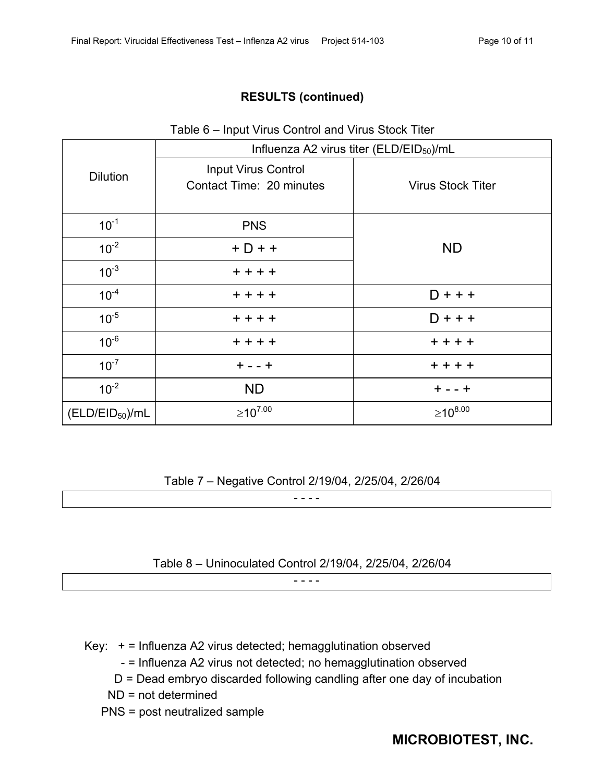#### Table 6 – Input Virus Control and Virus Stock Titer

|                             |                                                 | Influenza A2 virus titer (ELD/EID $_{50}$ )/mL |  |
|-----------------------------|-------------------------------------------------|------------------------------------------------|--|
| <b>Dilution</b>             | Input Virus Control<br>Contact Time: 20 minutes | <b>Virus Stock Titer</b>                       |  |
| $10^{-1}$                   | <b>PNS</b>                                      |                                                |  |
| $10^{-2}$                   | $+D++$                                          | <b>ND</b>                                      |  |
| $10^{-3}$                   | $+ + + +$                                       |                                                |  |
| $10^{-4}$                   | $+ + + +$                                       | $D + + +$                                      |  |
| $10^{-5}$                   | $+ + + +$                                       | $D + + +$                                      |  |
| $10^{-6}$                   | $+ + + +$                                       | $+ + + +$                                      |  |
| $10^{-7}$                   | $+ - - +$                                       | $+ + + +$                                      |  |
| $10^{-2}$                   | <b>ND</b>                                       | $+ - - +$                                      |  |
| (ELD/EID <sub>50</sub> )/mL | $≥10^{7.00}$                                    | $≥10^{8.00}$                                   |  |

#### Table 7 – Negative Control 2/19/04, 2/25/04, 2/26/04

- - - -

#### Table 8 – Uninoculated Control 2/19/04, 2/25/04, 2/26/04

 $- - - -$ 

- Key: + = Influenza A2 virus detected; hemagglutination observed
	- = Influenza A2 virus not detected; no hemagglutination observed
	- D = Dead embryo discarded following candling after one day of incubation
	- ND = not determined
	- PNS = post neutralized sample